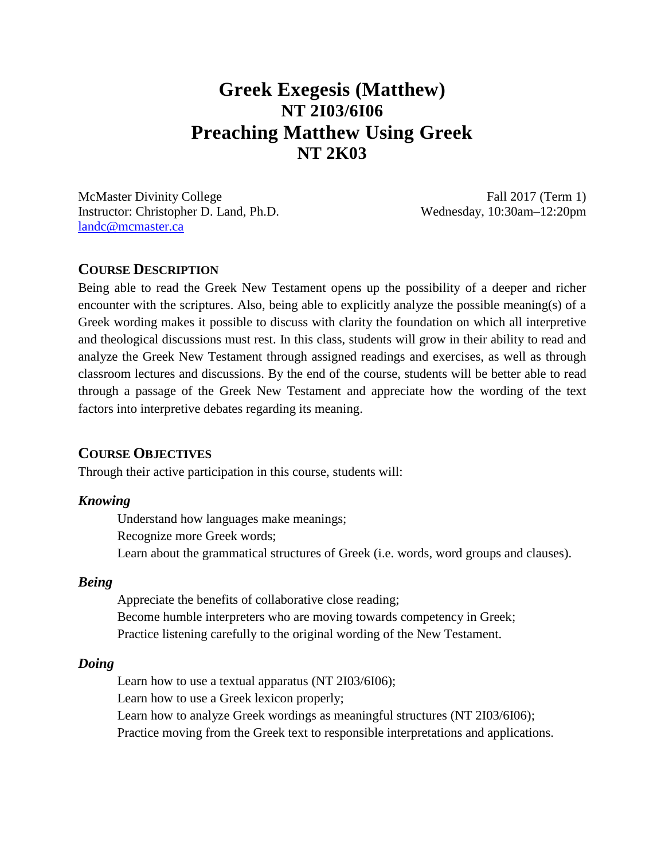# **Greek Exegesis (Matthew) NT 2I03/6I06 Preaching Matthew Using Greek NT 2K03**

McMaster Divinity College Fall 2017 (Term 1) Instructor: Christopher D. Land, Ph.D. Wednesday, 10:30am–12:20pm [landc@mcmaster.ca](mailto:landc@mcmaster.ca)

### **COURSE DESCRIPTION**

Being able to read the Greek New Testament opens up the possibility of a deeper and richer encounter with the scriptures. Also, being able to explicitly analyze the possible meaning(s) of a Greek wording makes it possible to discuss with clarity the foundation on which all interpretive and theological discussions must rest. In this class, students will grow in their ability to read and analyze the Greek New Testament through assigned readings and exercises, as well as through classroom lectures and discussions. By the end of the course, students will be better able to read through a passage of the Greek New Testament and appreciate how the wording of the text factors into interpretive debates regarding its meaning.

### **COURSE OBJECTIVES**

Through their active participation in this course, students will:

#### *Knowing*

Understand how languages make meanings; Recognize more Greek words; Learn about the grammatical structures of Greek (i.e. words, word groups and clauses).

#### *Being*

Appreciate the benefits of collaborative close reading; Become humble interpreters who are moving towards competency in Greek; Practice listening carefully to the original wording of the New Testament.

### *Doing*

Learn how to use a textual apparatus (NT 2I03/6I06); Learn how to use a Greek lexicon properly; Learn how to analyze Greek wordings as meaningful structures (NT 2I03/6I06); Practice moving from the Greek text to responsible interpretations and applications.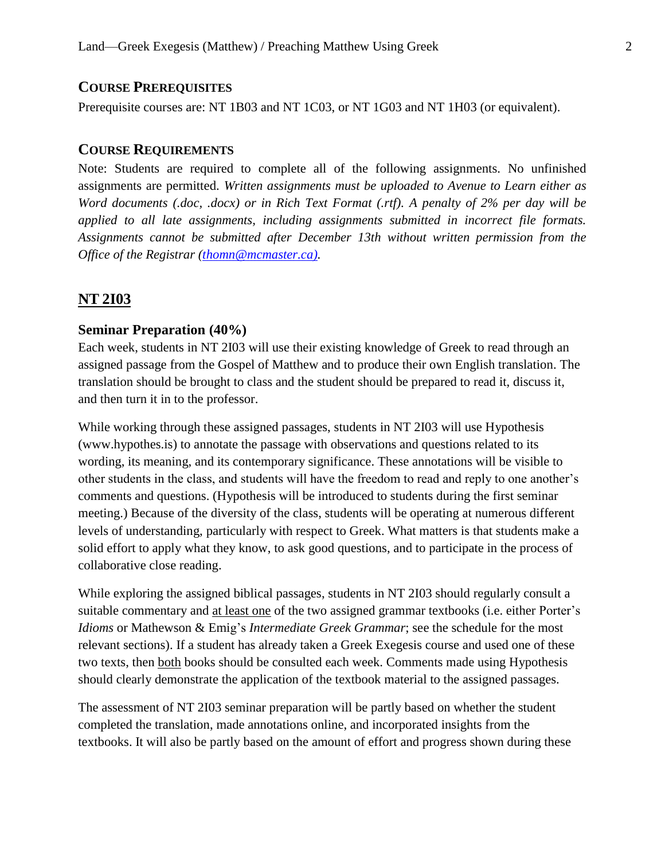# **COURSE PREREQUISITES**

Prerequisite courses are: NT 1B03 and NT 1C03, or NT 1G03 and NT 1H03 (or equivalent).

# **COURSE REQUIREMENTS**

Note: Students are required to complete all of the following assignments. No unfinished assignments are permitted. *Written assignments must be uploaded to Avenue to Learn either as Word documents (.doc, .docx) or in Rich Text Format (.rtf). A penalty of 2% per day will be applied to all late assignments, including assignments submitted in incorrect file formats. Assignments cannot be submitted after December 13th without written permission from the Office of the Registrar [\(thomn@mcmaster.ca\).](mailto:thomn@mcmaster.ca))*

# **NT 2I03**

# **Seminar Preparation (40%)**

Each week, students in NT 2I03 will use their existing knowledge of Greek to read through an assigned passage from the Gospel of Matthew and to produce their own English translation. The translation should be brought to class and the student should be prepared to read it, discuss it, and then turn it in to the professor.

While working through these assigned passages, students in NT 2I03 will use Hypothesis (www.hypothes.is) to annotate the passage with observations and questions related to its wording, its meaning, and its contemporary significance. These annotations will be visible to other students in the class, and students will have the freedom to read and reply to one another's comments and questions. (Hypothesis will be introduced to students during the first seminar meeting.) Because of the diversity of the class, students will be operating at numerous different levels of understanding, particularly with respect to Greek. What matters is that students make a solid effort to apply what they know, to ask good questions, and to participate in the process of collaborative close reading.

While exploring the assigned biblical passages, students in NT 2I03 should regularly consult a suitable commentary and at least one of the two assigned grammar textbooks (i.e. either Porter's *Idioms* or Mathewson & Emig's *Intermediate Greek Grammar*; see the schedule for the most relevant sections). If a student has already taken a Greek Exegesis course and used one of these two texts, then both books should be consulted each week. Comments made using Hypothesis should clearly demonstrate the application of the textbook material to the assigned passages.

The assessment of NT 2I03 seminar preparation will be partly based on whether the student completed the translation, made annotations online, and incorporated insights from the textbooks. It will also be partly based on the amount of effort and progress shown during these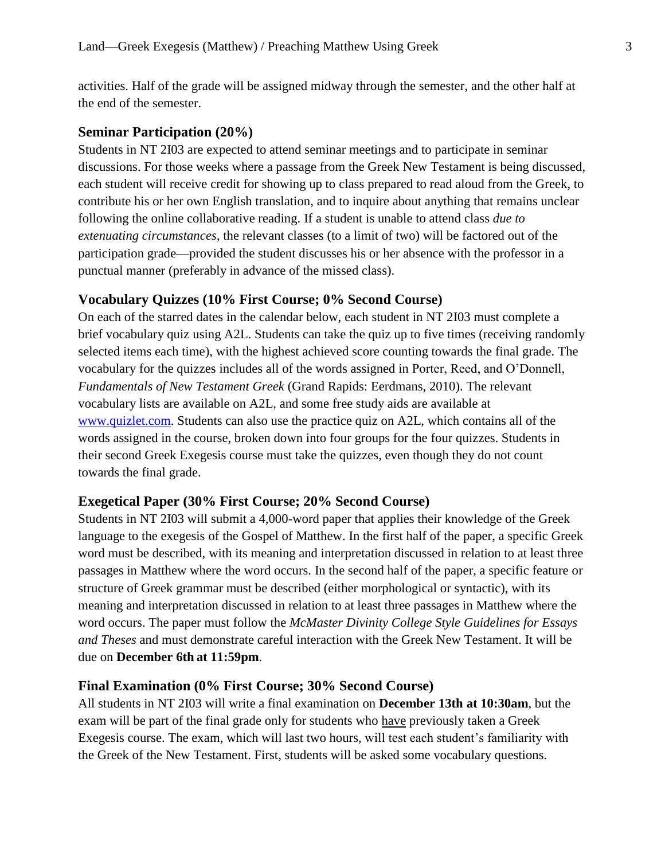activities. Half of the grade will be assigned midway through the semester, and the other half at the end of the semester.

### **Seminar Participation (20%)**

Students in NT 2I03 are expected to attend seminar meetings and to participate in seminar discussions. For those weeks where a passage from the Greek New Testament is being discussed, each student will receive credit for showing up to class prepared to read aloud from the Greek, to contribute his or her own English translation, and to inquire about anything that remains unclear following the online collaborative reading. If a student is unable to attend class *due to extenuating circumstances*, the relevant classes (to a limit of two) will be factored out of the participation grade—provided the student discusses his or her absence with the professor in a punctual manner (preferably in advance of the missed class).

### **Vocabulary Quizzes (10% First Course; 0% Second Course)**

On each of the starred dates in the calendar below, each student in NT 2I03 must complete a brief vocabulary quiz using A2L. Students can take the quiz up to five times (receiving randomly selected items each time), with the highest achieved score counting towards the final grade. The vocabulary for the quizzes includes all of the words assigned in Porter, Reed, and O'Donnell, *Fundamentals of New Testament Greek* (Grand Rapids: Eerdmans, 2010). The relevant vocabulary lists are available on A2L, and some free study aids are available at [www.quizlet.com.](http://www.quizlet.com/) Students can also use the practice quiz on A2L, which contains all of the words assigned in the course, broken down into four groups for the four quizzes. Students in their second Greek Exegesis course must take the quizzes, even though they do not count towards the final grade.

#### **Exegetical Paper (30% First Course; 20% Second Course)**

Students in NT 2I03 will submit a 4,000-word paper that applies their knowledge of the Greek language to the exegesis of the Gospel of Matthew. In the first half of the paper, a specific Greek word must be described, with its meaning and interpretation discussed in relation to at least three passages in Matthew where the word occurs. In the second half of the paper, a specific feature or structure of Greek grammar must be described (either morphological or syntactic), with its meaning and interpretation discussed in relation to at least three passages in Matthew where the word occurs. The paper must follow the *McMaster Divinity College Style Guidelines for Essays and Theses* and must demonstrate careful interaction with the Greek New Testament. It will be due on **December 6th at 11:59pm**.

#### **Final Examination (0% First Course; 30% Second Course)**

All students in NT 2I03 will write a final examination on **December 13th at 10:30am**, but the exam will be part of the final grade only for students who have previously taken a Greek Exegesis course. The exam, which will last two hours, will test each student's familiarity with the Greek of the New Testament. First, students will be asked some vocabulary questions.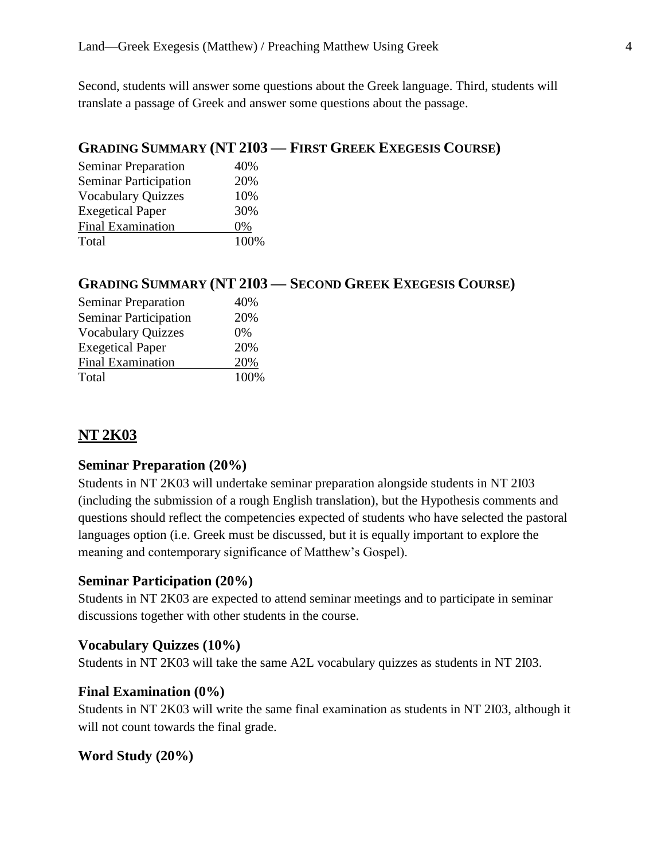Second, students will answer some questions about the Greek language. Third, students will translate a passage of Greek and answer some questions about the passage.

# **GRADING SUMMARY (NT 2I03 — FIRST GREEK EXEGESIS COURSE)**

| <b>Seminar Preparation</b>   | 40%  |
|------------------------------|------|
| <b>Seminar Participation</b> | 20%  |
| <b>Vocabulary Quizzes</b>    | 10%  |
| <b>Exegetical Paper</b>      | 30%  |
| <b>Final Examination</b>     | 0%   |
| Total                        | 100% |

# **GRADING SUMMARY (NT 2I03 — SECOND GREEK EXEGESIS COURSE)**

| <b>Seminar Preparation</b>   | 40%   |
|------------------------------|-------|
| <b>Seminar Participation</b> | 20%   |
| <b>Vocabulary Quizzes</b>    | $0\%$ |
| <b>Exegetical Paper</b>      | 20%   |
| <b>Final Examination</b>     | 20%   |
| Total                        | 100%  |

# **NT 2K03**

### **Seminar Preparation (20%)**

Students in NT 2K03 will undertake seminar preparation alongside students in NT 2I03 (including the submission of a rough English translation), but the Hypothesis comments and questions should reflect the competencies expected of students who have selected the pastoral languages option (i.e. Greek must be discussed, but it is equally important to explore the meaning and contemporary significance of Matthew's Gospel).

### **Seminar Participation (20%)**

Students in NT 2K03 are expected to attend seminar meetings and to participate in seminar discussions together with other students in the course.

### **Vocabulary Quizzes (10%)**

Students in NT 2K03 will take the same A2L vocabulary quizzes as students in NT 2I03.

#### **Final Examination (0%)**

Students in NT 2K03 will write the same final examination as students in NT 2I03, although it will not count towards the final grade.

### **Word Study (20%)**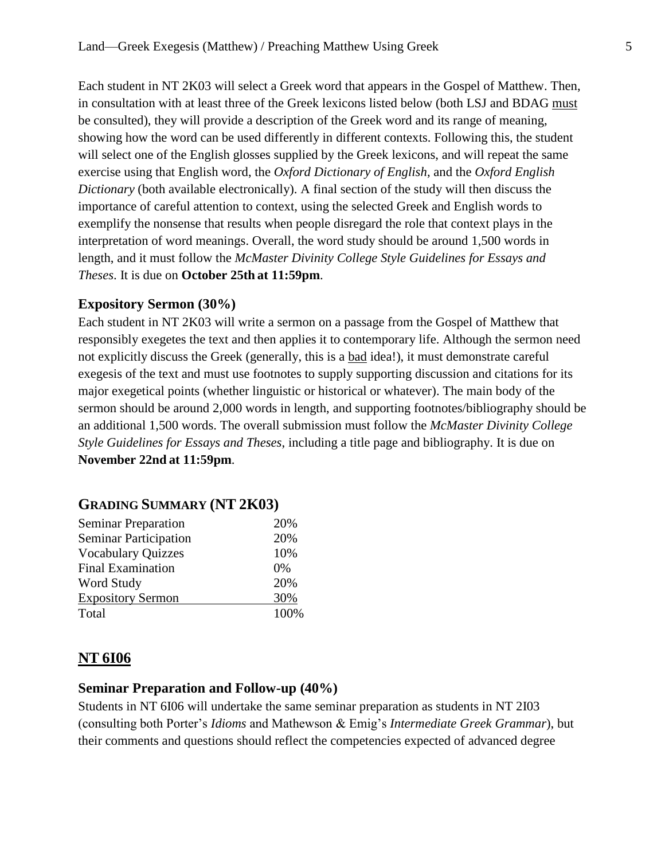Each student in NT 2K03 will select a Greek word that appears in the Gospel of Matthew. Then, in consultation with at least three of the Greek lexicons listed below (both LSJ and BDAG must be consulted), they will provide a description of the Greek word and its range of meaning, showing how the word can be used differently in different contexts. Following this, the student will select one of the English glosses supplied by the Greek lexicons, and will repeat the same exercise using that English word, the *Oxford Dictionary of English*, and the *Oxford English Dictionary* (both available electronically). A final section of the study will then discuss the importance of careful attention to context, using the selected Greek and English words to exemplify the nonsense that results when people disregard the role that context plays in the interpretation of word meanings. Overall, the word study should be around 1,500 words in length, and it must follow the *McMaster Divinity College Style Guidelines for Essays and Theses*. It is due on **October 25th at 11:59pm**.

### **Expository Sermon (30%)**

Each student in NT 2K03 will write a sermon on a passage from the Gospel of Matthew that responsibly exegetes the text and then applies it to contemporary life. Although the sermon need not explicitly discuss the Greek (generally, this is a bad idea!), it must demonstrate careful exegesis of the text and must use footnotes to supply supporting discussion and citations for its major exegetical points (whether linguistic or historical or whatever). The main body of the sermon should be around 2,000 words in length, and supporting footnotes/bibliography should be an additional 1,500 words. The overall submission must follow the *McMaster Divinity College Style Guidelines for Essays and Theses*, including a title page and bibliography. It is due on **November 22nd at 11:59pm**.

| 20%   |
|-------|
| 20%   |
| 10%   |
| $0\%$ |
| 20%   |
| 30%   |
| 100%  |
|       |

# **GRADING SUMMARY (NT 2K03)**

# **NT 6I06**

### **Seminar Preparation and Follow-up (40%)**

Students in NT 6I06 will undertake the same seminar preparation as students in NT 2I03 (consulting both Porter's *Idioms* and Mathewson & Emig's *Intermediate Greek Grammar*), but their comments and questions should reflect the competencies expected of advanced degree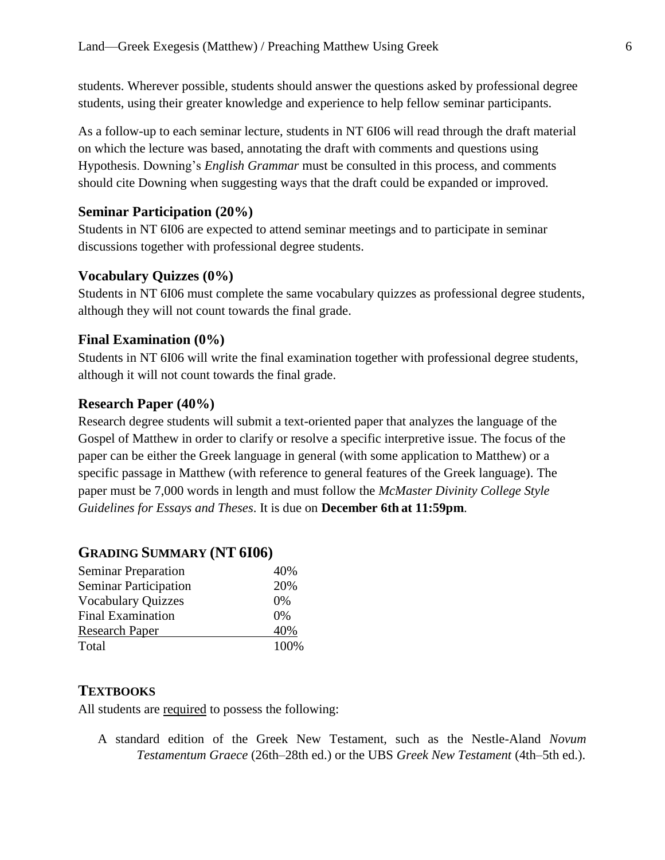students. Wherever possible, students should answer the questions asked by professional degree students, using their greater knowledge and experience to help fellow seminar participants.

As a follow-up to each seminar lecture, students in NT 6I06 will read through the draft material on which the lecture was based, annotating the draft with comments and questions using Hypothesis. Downing's *English Grammar* must be consulted in this process, and comments should cite Downing when suggesting ways that the draft could be expanded or improved.

# **Seminar Participation (20%)**

Students in NT 6I06 are expected to attend seminar meetings and to participate in seminar discussions together with professional degree students.

# **Vocabulary Quizzes (0%)**

Students in NT 6I06 must complete the same vocabulary quizzes as professional degree students, although they will not count towards the final grade.

## **Final Examination (0%)**

Students in NT 6I06 will write the final examination together with professional degree students, although it will not count towards the final grade.

### **Research Paper (40%)**

Research degree students will submit a text-oriented paper that analyzes the language of the Gospel of Matthew in order to clarify or resolve a specific interpretive issue. The focus of the paper can be either the Greek language in general (with some application to Matthew) or a specific passage in Matthew (with reference to general features of the Greek language). The paper must be 7,000 words in length and must follow the *McMaster Divinity College Style Guidelines for Essays and Theses*. It is due on **December 6th at 11:59pm**.

# **GRADING SUMMARY (NT 6I06)**

| <b>Seminar Preparation</b>   | 40%   |
|------------------------------|-------|
| <b>Seminar Participation</b> | 20%   |
| <b>Vocabulary Quizzes</b>    | $0\%$ |
| <b>Final Examination</b>     | $0\%$ |
| <b>Research Paper</b>        | 40%   |
| Total                        | 100%  |

# **TEXTBOOKS**

All students are required to possess the following:

A standard edition of the Greek New Testament, such as the Nestle-Aland *Novum Testamentum Graece* (26th–28th ed.) or the UBS *Greek New Testament* (4th–5th ed.).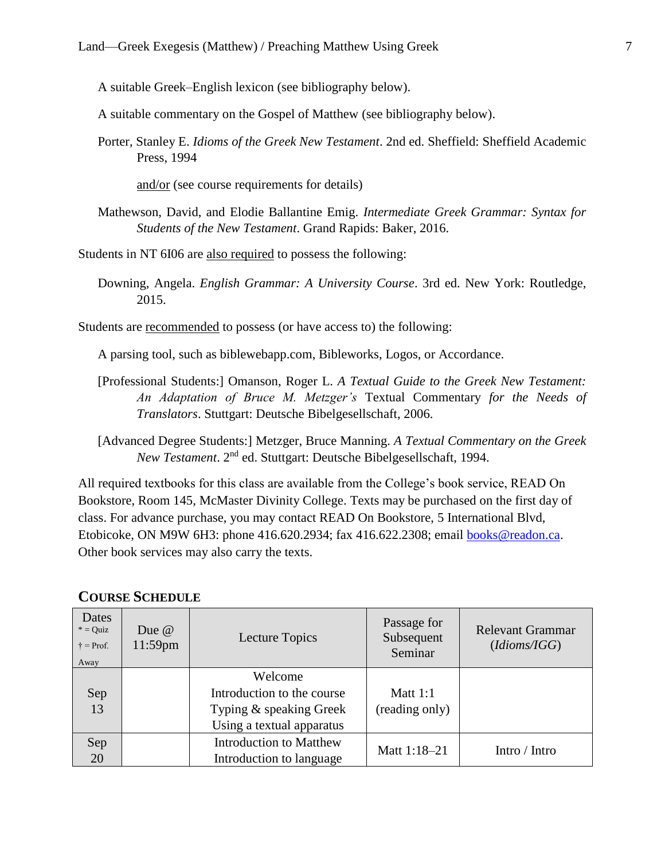A suitable Greek–English lexicon (see bibliography below).

A suitable commentary on the Gospel of Matthew (see bibliography below).

Porter, Stanley E. *Idioms of the Greek New Testament*. 2nd ed. Sheffield: Sheffield Academic Press, 1994

and/or (see course requirements for details)

Mathewson, David, and Elodie Ballantine Emig. *Intermediate Greek Grammar: Syntax for Students of the New Testament*. Grand Rapids: Baker, 2016.

Students in NT 6I06 are also required to possess the following:

Downing, Angela. *English Grammar: A University Course*. 3rd ed. New York: Routledge, 2015.

Students are recommended to possess (or have access to) the following:

A parsing tool, such as biblewebapp.com, Bibleworks, Logos, or Accordance.

- [Professional Students:] Omanson, Roger L. *A Textual Guide to the Greek New Testament: An Adaptation of Bruce M. Metzger's* Textual Commentary *for the Needs of Translators*. Stuttgart: Deutsche Bibelgesellschaft, 2006.
- [Advanced Degree Students:] Metzger, Bruce Manning. *A Textual Commentary on the Greek*  New Testament. 2<sup>nd</sup> ed. Stuttgart: Deutsche Bibelgesellschaft, 1994.

All required textbooks for this class are available from the College's book service, READ On Bookstore, Room 145, McMaster Divinity College. Texts may be purchased on the first day of class. For advance purchase, you may contact READ On Bookstore, 5 International Blvd, Etobicoke, ON M9W 6H3: phone 416.620.2934; fax 416.622.2308; email [books@readon.ca.](mailto:books@readon.ca) Other book services may also carry the texts.

| Dates<br>$*$ = Quiz<br>$\dagger$ = Prof.<br>Away | Due $\omega$<br>$11:59$ pm | Lecture Topics                 | Passage for<br>Subsequent<br>Seminar | <b>Relevant Grammar</b><br>(didoms/IGG) |
|--------------------------------------------------|----------------------------|--------------------------------|--------------------------------------|-----------------------------------------|
|                                                  |                            | Welcome                        |                                      |                                         |
| Sep                                              |                            | Introduction to the course     | Matt $1:1$                           |                                         |
| 13                                               |                            | Typing & speaking Greek        | (reading only)                       |                                         |
|                                                  |                            | Using a textual apparatus      |                                      |                                         |
| Sep                                              |                            | <b>Introduction to Matthew</b> | Matt 1:18-21                         | Intro / Intro                           |
| 20                                               |                            | Introduction to language       |                                      |                                         |

#### **COURSE SCHEDULE**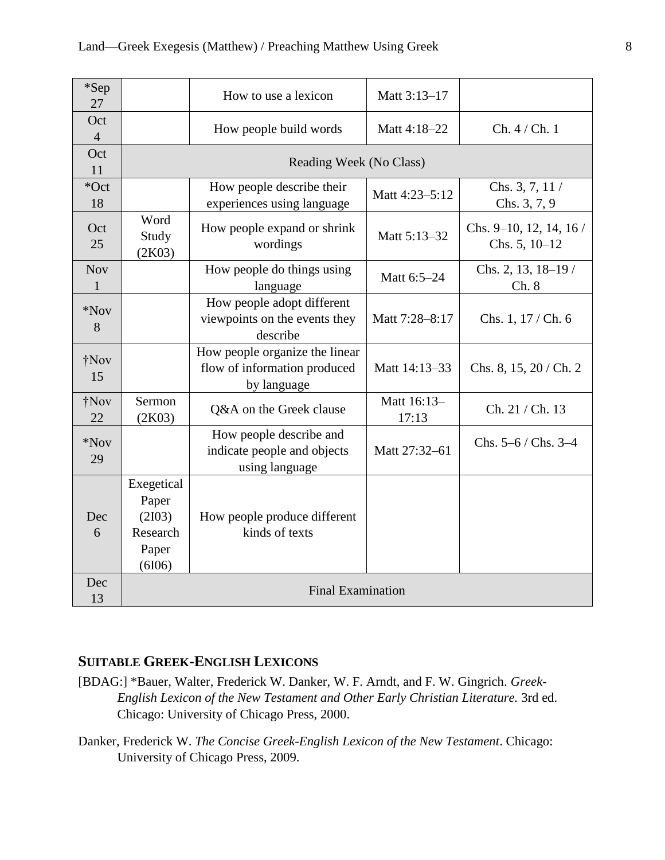| *Sep<br>27            |                                                              | How to use a lexicon                                                          | Matt 3:13-17         |                                             |
|-----------------------|--------------------------------------------------------------|-------------------------------------------------------------------------------|----------------------|---------------------------------------------|
| Oct<br>$\overline{4}$ |                                                              | How people build words                                                        | Matt 4:18-22         | Ch. 4 / Ch. 1                               |
| Oct<br>11             | Reading Week (No Class)                                      |                                                                               |                      |                                             |
| *Oct<br>18            |                                                              | How people describe their<br>experiences using language                       | Matt 4:23-5:12       | Chs. $3, 7, 11/$<br>Chs. 3, 7, 9            |
| Oct<br>25             | Word<br>Study<br>(2K03)                                      | How people expand or shrink<br>wordings                                       | Matt 5:13-32         | Chs. $9-10$ , 12, 14, 16 /<br>Chs. 5, 10-12 |
| <b>Nov</b><br>1       |                                                              | How people do things using<br>language                                        | Matt 6:5-24          | Chs. 2, 13, 18-19 /<br>Ch. 8                |
| $*$ Nov<br>8          |                                                              | How people adopt different<br>viewpoints on the events they<br>describe       | Matt 7:28-8:17       | Chs. 1, 17 / Ch. 6                          |
| †Nov<br>15            |                                                              | How people organize the linear<br>flow of information produced<br>by language | Matt 14:13-33        | Chs. 8, 15, 20 / Ch. 2                      |
| †Nov<br>22            | Sermon<br>(2K03)                                             | Q&A on the Greek clause                                                       | Matt 16:13-<br>17:13 | Ch. 21 / Ch. 13                             |
| *Nov<br>29            |                                                              | How people describe and<br>indicate people and objects<br>using language      | Matt 27:32-61        | Chs. $5-6$ / Chs. $3-4$                     |
| Dec<br>6              | Exegetical<br>Paper<br>(2I03)<br>Research<br>Paper<br>(6I06) | How people produce different<br>kinds of texts                                |                      |                                             |
| Dec<br>13             | <b>Final Examination</b>                                     |                                                                               |                      |                                             |

# **SUITABLE GREEK-ENGLISH LEXICONS**

- [BDAG:] \*Bauer, Walter, Frederick W. Danker, W. F. Arndt, and F. W. Gingrich. *Greek-English Lexicon of the New Testament and Other Early Christian Literature.* 3rd ed. Chicago: University of Chicago Press, 2000.
- Danker, Frederick W. *The Concise Greek-English Lexicon of the New Testament*. Chicago: University of Chicago Press, 2009.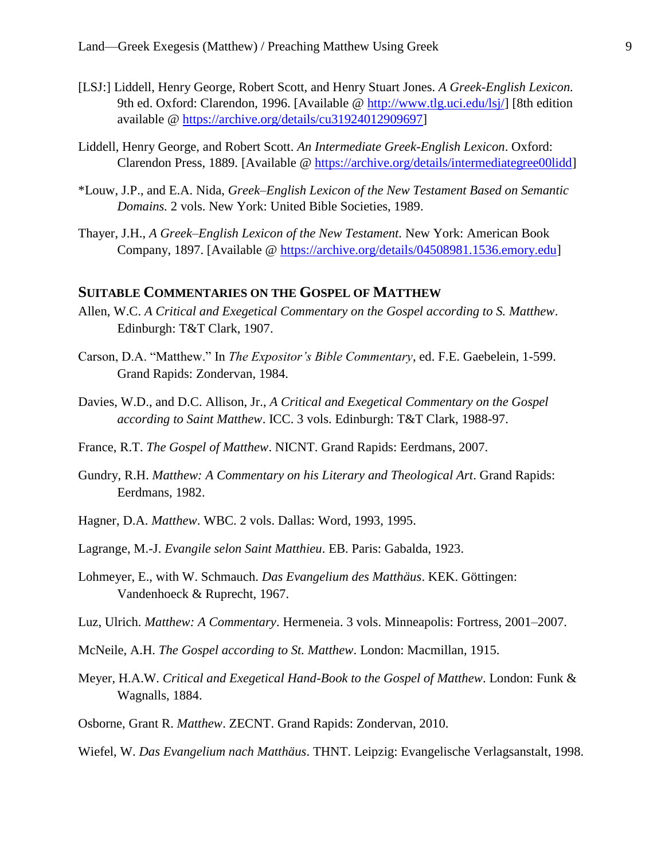- [LSJ:] Liddell, Henry George, Robert Scott, and Henry Stuart Jones. *A Greek-English Lexicon.* 9th ed. Oxford: Clarendon, 1996. [Available @ [http://www.tlg.uci.edu/lsj/\]](http://www.tlg.uci.edu/lsj/) [8th edition available @ [https://archive.org/details/cu31924012909697\]](https://archive.org/details/cu31924012909697)
- Liddell, Henry George, and Robert Scott. *An Intermediate Greek-English Lexicon*. Oxford: Clarendon Press, 1889. [Available @ [https://archive.org/details/intermediategree00lidd\]](https://archive.org/details/intermediategree00lidd)
- \*Louw, J.P., and E.A. Nida, *Greek–English Lexicon of the New Testament Based on Semantic Domains.* 2 vols. New York: United Bible Societies, 1989.
- Thayer, J.H., *A Greek–English Lexicon of the New Testament.* New York: American Book Company, 1897. [Available @ [https://archive.org/details/04508981.1536.emory.edu\]](https://archive.org/details/04508981.1536.emory.edu)

### **SUITABLE COMMENTARIES ON THE GOSPEL OF MATTHEW**

- Allen, W.C. *A Critical and Exegetical Commentary on the Gospel according to S. Matthew*. Edinburgh: T&T Clark, 1907.
- Carson, D.A. "Matthew." In *The Expositor's Bible Commentary*, ed. F.E. Gaebelein, 1-599. Grand Rapids: Zondervan, 1984.
- Davies, W.D., and D.C. Allison, Jr., *A Critical and Exegetical Commentary on the Gospel according to Saint Matthew*. ICC. 3 vols. Edinburgh: T&T Clark, 1988-97.
- France, R.T. *The Gospel of Matthew*. NICNT. Grand Rapids: Eerdmans, 2007.
- Gundry, R.H. *Matthew: A Commentary on his Literary and Theological Art*. Grand Rapids: Eerdmans, 1982.
- Hagner, D.A. *Matthew*. WBC. 2 vols. Dallas: Word, 1993, 1995.
- Lagrange, M.-J. *Evangile selon Saint Matthieu*. EB. Paris: Gabalda, 1923.
- Lohmeyer, E., with W. Schmauch. *Das Evangelium des Matthäus*. KEK. Göttingen: Vandenhoeck & Ruprecht, 1967.
- Luz, Ulrich. *Matthew: A Commentary*. Hermeneia. 3 vols. Minneapolis: Fortress, 2001–2007.
- McNeile, A.H. *The Gospel according to St. Matthew*. London: Macmillan, 1915.
- Meyer, H.A.W. *Critical and Exegetical Hand-Book to the Gospel of Matthew*. London: Funk & Wagnalls, 1884.
- Osborne, Grant R. *Matthew*. ZECNT. Grand Rapids: Zondervan, 2010.
- Wiefel, W. *Das Evangelium nach Matthäus*. THNT. Leipzig: Evangelische Verlagsanstalt, 1998.